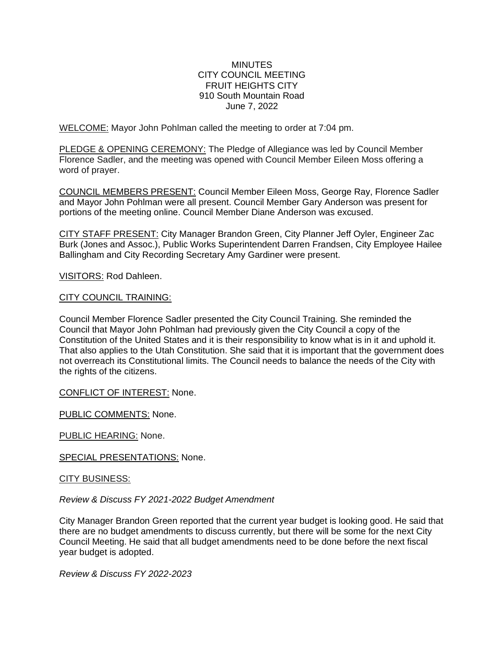### **MINUTES** CITY COUNCIL MEETING FRUIT HEIGHTS CITY 910 South Mountain Road June 7, 2022

WELCOME: Mayor John Pohlman called the meeting to order at 7:04 pm.

PLEDGE & OPENING CEREMONY: The Pledge of Allegiance was led by Council Member Florence Sadler, and the meeting was opened with Council Member Eileen Moss offering a word of prayer.

COUNCIL MEMBERS PRESENT: Council Member Eileen Moss, George Ray, Florence Sadler and Mayor John Pohlman were all present. Council Member Gary Anderson was present for portions of the meeting online. Council Member Diane Anderson was excused.

CITY STAFF PRESENT: City Manager Brandon Green, City Planner Jeff Oyler, Engineer Zac Burk (Jones and Assoc.), Public Works Superintendent Darren Frandsen, City Employee Hailee Ballingham and City Recording Secretary Amy Gardiner were present.

VISITORS: Rod Dahleen.

### CITY COUNCIL TRAINING:

Council Member Florence Sadler presented the City Council Training. She reminded the Council that Mayor John Pohlman had previously given the City Council a copy of the Constitution of the United States and it is their responsibility to know what is in it and uphold it. That also applies to the Utah Constitution. She said that it is important that the government does not overreach its Constitutional limits. The Council needs to balance the needs of the City with the rights of the citizens.

CONFLICT OF INTEREST: None.

PUBLIC COMMENTS: None.

PUBLIC HEARING: None.

SPECIAL PRESENTATIONS: None.

CITY BUSINESS:

*Review & Discuss FY 2021-2022 Budget Amendment*

City Manager Brandon Green reported that the current year budget is looking good. He said that there are no budget amendments to discuss currently, but there will be some for the next City Council Meeting. He said that all budget amendments need to be done before the next fiscal year budget is adopted.

*Review & Discuss FY 2022-2023*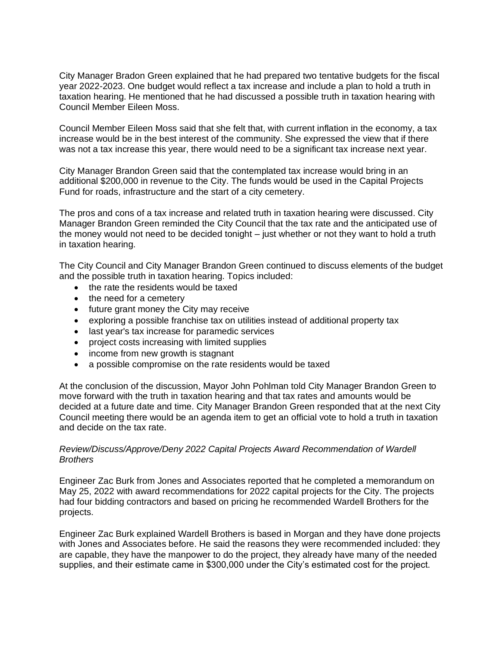City Manager Bradon Green explained that he had prepared two tentative budgets for the fiscal year 2022-2023. One budget would reflect a tax increase and include a plan to hold a truth in taxation hearing. He mentioned that he had discussed a possible truth in taxation hearing with Council Member Eileen Moss.

Council Member Eileen Moss said that she felt that, with current inflation in the economy, a tax increase would be in the best interest of the community. She expressed the view that if there was not a tax increase this year, there would need to be a significant tax increase next year.

City Manager Brandon Green said that the contemplated tax increase would bring in an additional \$200,000 in revenue to the City. The funds would be used in the Capital Projects Fund for roads, infrastructure and the start of a city cemetery.

The pros and cons of a tax increase and related truth in taxation hearing were discussed. City Manager Brandon Green reminded the City Council that the tax rate and the anticipated use of the money would not need to be decided tonight – just whether or not they want to hold a truth in taxation hearing.

The City Council and City Manager Brandon Green continued to discuss elements of the budget and the possible truth in taxation hearing. Topics included:

- the rate the residents would be taxed
- the need for a cemetery
- future grant money the City may receive
- exploring a possible franchise tax on utilities instead of additional property tax
- last year's tax increase for paramedic services
- project costs increasing with limited supplies
- income from new growth is stagnant
- a possible compromise on the rate residents would be taxed

At the conclusion of the discussion, Mayor John Pohlman told City Manager Brandon Green to move forward with the truth in taxation hearing and that tax rates and amounts would be decided at a future date and time. City Manager Brandon Green responded that at the next City Council meeting there would be an agenda item to get an official vote to hold a truth in taxation and decide on the tax rate.

### *Review/Discuss/Approve/Deny 2022 Capital Projects Award Recommendation of Wardell Brothers*

Engineer Zac Burk from Jones and Associates reported that he completed a memorandum on May 25, 2022 with award recommendations for 2022 capital projects for the City. The projects had four bidding contractors and based on pricing he recommended Wardell Brothers for the projects.

Engineer Zac Burk explained Wardell Brothers is based in Morgan and they have done projects with Jones and Associates before. He said the reasons they were recommended included: they are capable, they have the manpower to do the project, they already have many of the needed supplies, and their estimate came in \$300,000 under the City's estimated cost for the project.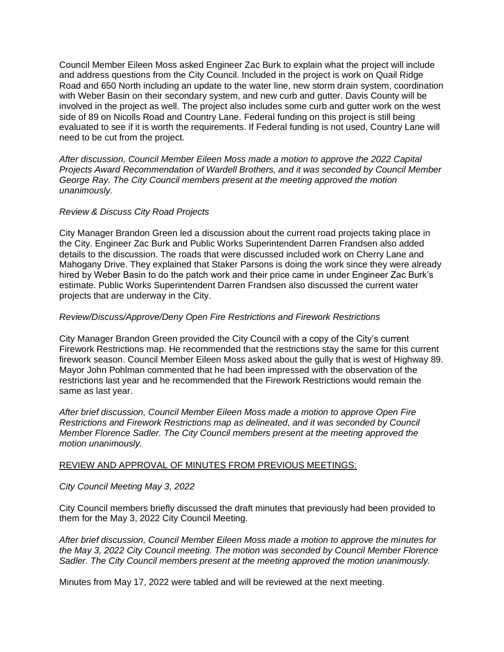Council Member Eileen Moss asked Engineer Zac Burk to explain what the project will include and address questions from the City Council. Included in the project is work on Quail Ridge Road and 650 North including an update to the water line, new storm drain system, coordination with Weber Basin on their secondary system, and new curb and gutter. Davis County will be involved in the project as well. The project also includes some curb and gutter work on the west side of 89 on Nicolls Road and Country Lane. Federal funding on this project is still being evaluated to see if it is worth the requirements. If Federal funding is not used, Country Lane will need to be cut from the project.

*After discussion, Council Member Eileen Moss made a motion to approve the 2022 Capital Projects Award Recommendation of Wardell Brothers, and it was seconded by Council Member George Ray. The City Council members present at the meeting approved the motion unanimously.* 

## *Review & Discuss City Road Projects*

City Manager Brandon Green led a discussion about the current road projects taking place in the City. Engineer Zac Burk and Public Works Superintendent Darren Frandsen also added details to the discussion. The roads that were discussed included work on Cherry Lane and Mahogany Drive. They explained that Staker Parsons is doing the work since they were already hired by Weber Basin to do the patch work and their price came in under Engineer Zac Burk's estimate. Public Works Superintendent Darren Frandsen also discussed the current water projects that are underway in the City.

## *Review/Discuss/Approve/Deny Open Fire Restrictions and Firework Restrictions*

City Manager Brandon Green provided the City Council with a copy of the City's current Firework Restrictions map. He recommended that the restrictions stay the same for this current firework season. Council Member Eileen Moss asked about the gully that is west of Highway 89. Mayor John Pohlman commented that he had been impressed with the observation of the restrictions last year and he recommended that the Firework Restrictions would remain the same as last year.

*After brief discussion, Council Member Eileen Moss made a motion to approve Open Fire Restrictions and Firework Restrictions map as delineated, and it was seconded by Council Member Florence Sadler. The City Council members present at the meeting approved the motion unanimously.* 

# REVIEW AND APPROVAL OF MINUTES FROM PREVIOUS MEETINGS:

### *City Council Meeting May 3, 2022*

City Council members briefly discussed the draft minutes that previously had been provided to them for the May 3, 2022 City Council Meeting.

*After brief discussion, Council Member Eileen Moss made a motion to approve the minutes for the May 3, 2022 City Council meeting. The motion was seconded by Council Member Florence Sadler. The City Council members present at the meeting approved the motion unanimously.* 

Minutes from May 17, 2022 were tabled and will be reviewed at the next meeting.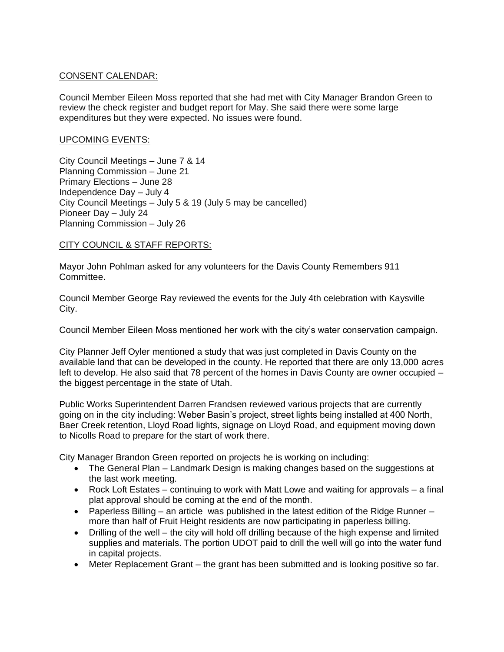# CONSENT CALENDAR:

Council Member Eileen Moss reported that she had met with City Manager Brandon Green to review the check register and budget report for May. She said there were some large expenditures but they were expected. No issues were found.

### UPCOMING EVENTS:

City Council Meetings – June 7 & 14 Planning Commission – June 21 Primary Elections – June 28 Independence Day – July 4 City Council Meetings – July 5 & 19 (July 5 may be cancelled) Pioneer Day – July 24 Planning Commission – July 26

## CITY COUNCIL & STAFF REPORTS:

Mayor John Pohlman asked for any volunteers for the Davis County Remembers 911 Committee.

Council Member George Ray reviewed the events for the July 4th celebration with Kaysville City.

Council Member Eileen Moss mentioned her work with the city's water conservation campaign.

City Planner Jeff Oyler mentioned a study that was just completed in Davis County on the available land that can be developed in the county. He reported that there are only 13,000 acres left to develop. He also said that 78 percent of the homes in Davis County are owner occupied – the biggest percentage in the state of Utah.

Public Works Superintendent Darren Frandsen reviewed various projects that are currently going on in the city including: Weber Basin's project, street lights being installed at 400 North, Baer Creek retention, Lloyd Road lights, signage on Lloyd Road, and equipment moving down to Nicolls Road to prepare for the start of work there.

City Manager Brandon Green reported on projects he is working on including:

- The General Plan Landmark Design is making changes based on the suggestions at the last work meeting.
- Rock Loft Estates continuing to work with Matt Lowe and waiting for approvals a final plat approval should be coming at the end of the month.
- Paperless Billing an article was published in the latest edition of the Ridge Runner more than half of Fruit Height residents are now participating in paperless billing.
- Drilling of the well the city will hold off drilling because of the high expense and limited supplies and materials. The portion UDOT paid to drill the well will go into the water fund in capital projects.
- Meter Replacement Grant the grant has been submitted and is looking positive so far.